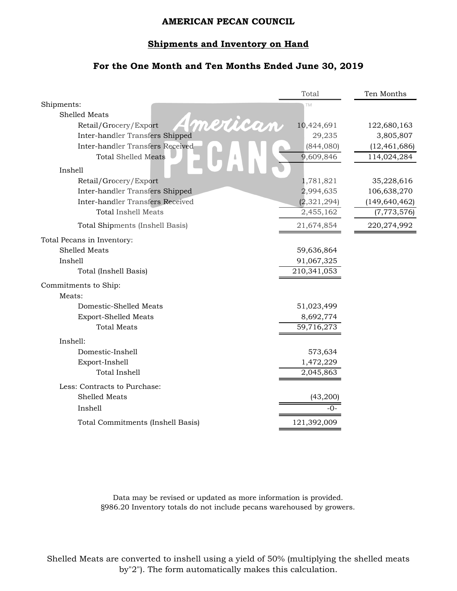### **Shipments and Inventory on Hand**

## **For the One Month and Ten Months Ended June 30, 2019**

|                                   | Total         | Ten Months      |
|-----------------------------------|---------------|-----------------|
| Shipments:                        | TM            |                 |
| <b>Shelled Meats</b>              |               |                 |
| merican<br>Retail/Grocery/Export  | 10,424,691    | 122,680,163     |
| Inter-handler Transfers Shipped   | 29,235        | 3,805,807       |
| Inter-handler Transfers Received  | (844,080)     | (12, 461, 686)  |
| <b>Total Shelled Meats</b>        | 9,609,846     | 114,024,284     |
| Inshell                           |               |                 |
| Retail/Grocery/Export             | 1,781,821     | 35,228,616      |
| Inter-handler Transfers Shipped   | 2,994,635     | 106,638,270     |
| Inter-handler Transfers Received  | (2, 321, 294) | (149, 640, 462) |
| <b>Total Inshell Meats</b>        | 2,455,162     | (7, 773, 576)   |
| Total Shipments (Inshell Basis)   | 21,674,854    | 220,274,992     |
| Total Pecans in Inventory:        |               |                 |
| Shelled Meats                     | 59,636,864    |                 |
| Inshell                           | 91,067,325    |                 |
| Total (Inshell Basis)             | 210,341,053   |                 |
| Commitments to Ship:              |               |                 |
| Meats:                            |               |                 |
| Domestic-Shelled Meats            | 51,023,499    |                 |
| Export-Shelled Meats              | 8,692,774     |                 |
| <b>Total Meats</b>                | 59,716,273    |                 |
| Inshell:                          |               |                 |
| Domestic-Inshell                  | 573,634       |                 |
| Export-Inshell                    | 1,472,229     |                 |
| <b>Total Inshell</b>              | 2,045,863     |                 |
| Less: Contracts to Purchase:      |               |                 |
| Shelled Meats                     | (43,200)      |                 |
| Inshell                           | -0-           |                 |
| Total Commitments (Inshell Basis) | 121,392,009   |                 |
|                                   |               |                 |

Data may be revised or updated as more information is provided. §986.20 Inventory totals do not include pecans warehoused by growers.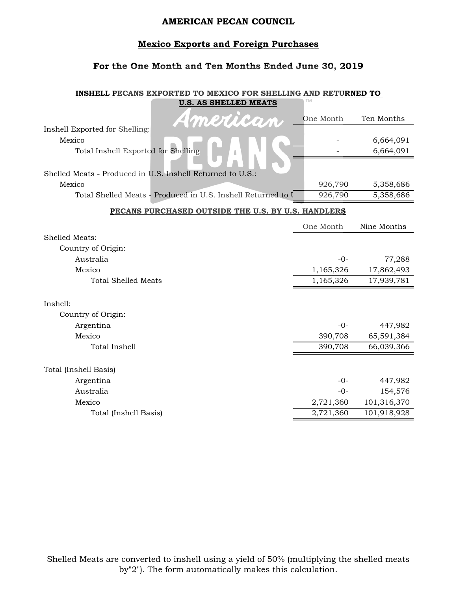## **Mexico Exports and Foreign Purchases**

## **For the One Month and Ten Months Ended June 30, 2019**

#### **INSHELL PECANS EXPORTED TO MEXICO FOR SHELLING AND RETURNED TO U.S. AS SHELLED MEATS**

| American                                                     | One Month                | Ten Months  |
|--------------------------------------------------------------|--------------------------|-------------|
| Inshell Exported for Shelling:                               |                          |             |
| Mexico                                                       |                          | 6,664,091   |
| Total Inshell Exported for Shelling                          | $\overline{\phantom{0}}$ | 6,664,091   |
|                                                              |                          |             |
| Shelled Meats - Produced in U.S. Inshell Returned to U.S.:   |                          |             |
| Mexico                                                       | 926,790                  | 5,358,686   |
| Total Shelled Meats - Produced in U.S. Inshell Returned to I | 926,790                  | 5,358,686   |
| PECANS PURCHASED OUTSIDE THE U.S. BY U.S. HANDLERS           |                          |             |
|                                                              | One Month                | Nine Months |
| Shelled Meats:                                               |                          |             |
| Country of Origin:                                           |                          |             |
| Australia                                                    | $-0-$                    | 77,288      |
| Mexico                                                       | 1,165,326                | 17,862,493  |
| <b>Total Shelled Meats</b>                                   | 1,165,326                | 17,939,781  |
|                                                              |                          |             |
| Inshell:                                                     |                          |             |
| Country of Origin:                                           |                          |             |
| Argentina                                                    | $-0-$                    | 447,982     |
| Mexico                                                       | 390,708                  | 65,591,384  |
| <b>Total Inshell</b>                                         | 390,708                  | 66,039,366  |
|                                                              |                          |             |
| Total (Inshell Basis)                                        |                          |             |
| Argentina<br>Australia                                       | $-0-$                    | 447,982     |
|                                                              | $-0-$                    | 154,576     |
| Mexico                                                       | 2,721,360                | 101,316,370 |
| Total (Inshell Basis)                                        | 2,721,360                | 101,918,928 |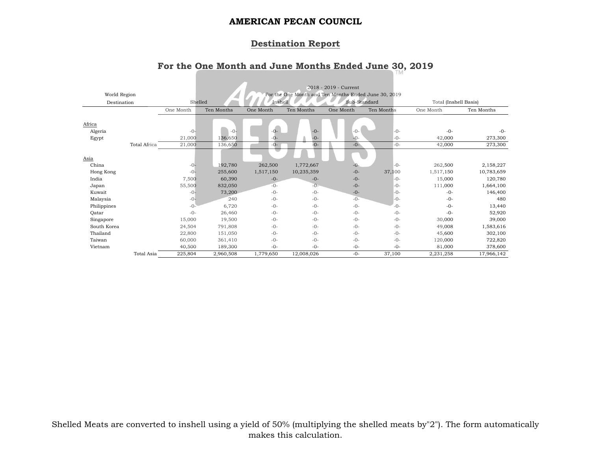# **Destination Report**

# **For the One Month and June Months Ended June 30, 2019**

| World Region |              |           |            |           |            | 2018 - 2019 - Current<br>For the One Month and Ten Months Ended June 30, 2019 |            |                       |            |
|--------------|--------------|-----------|------------|-----------|------------|-------------------------------------------------------------------------------|------------|-----------------------|------------|
| Destination  |              |           | Shelled    | Inshell   |            | Sub-Standard                                                                  |            | Total (Inshell Basis) |            |
|              |              | One Month | Ten Months | One Month | Ten Months | One Month                                                                     | Ten Months | One Month             | Ten Months |
| Africa       |              |           |            |           |            |                                                                               |            |                       |            |
| Algeria      |              | $-0-$     | $-0-$      | $-0-$     | $-0-$      | $-0-$                                                                         | $-0-$      | $-0-$                 | $-0-$      |
| Egypt        |              | 21,000    | 136,650    | $-0-$     | $-0-$      | $-0-$                                                                         | $-0-$      | 42,000                | 273,300    |
|              | Total Africa | 21,000    | 136,650    | $-0-$     | $-0-$      | $-0-$                                                                         | $-0-$      | 42,000                | 273,300    |
|              |              |           |            | ◡         |            |                                                                               |            |                       |            |
| Asia         |              |           |            |           |            |                                                                               |            |                       |            |
| China        |              | $-0-$     | 192,780    | 262,500   | 1,772,667  | $-0-$                                                                         | $-0-$      | 262,500               | 2,158,227  |
| Hong Kong    |              | $-0-$     | 255,600    | 1,517,150 | 10,235,359 | $-0-$                                                                         | 37,100     | 1,517,150             | 10,783,659 |
| India        |              | 7,500     | 60,390     | $-0-$     | $-0-$      | $-0-$                                                                         | $-0-$      | 15,000                | 120,780    |
| Japan        |              | 55,500    | 832,050    | $-0-$     | $-0-$      | $-0-$                                                                         | $-0-$      | 111,000               | 1,664,100  |
| Kuwait       |              | $-0-$     | 73,200     | $-0-$     | $-0-$      | $-0-$                                                                         | $-0-$      | $-0-$                 | 146,400    |
| Malaysia     |              | $-0-$     | 240        | $-0-$     | $-0-$      | $-0-$                                                                         | $-0-$      | $-0-$                 | 480        |
| Philippines  |              | $-0-$     | 6,720      | $-0-$     | $-0-$      | $-0-$                                                                         | $-()$ -    | $-0-$                 | 13,440     |
| Qatar        |              | $-0-$     | 26,460     | $-0-$     | $-0-$      | $-0-$                                                                         | $-0-$      | $-0-$                 | 52,920     |
| Singapore    |              | 15,000    | 19,500     | $-0-$     | $-0-$      | $-0-$                                                                         | $-0-$      | 30,000                | 39,000     |
| South Korea  |              | 24,504    | 791,808    | $-0-$     | $-0-$      | $-0-$                                                                         | $-0-$      | 49,008                | 1,583,616  |
| Thailand     |              | 22,800    | 151,050    | $-0-$     | $-0-$      | $-0-$                                                                         | $-0-$      | 45,600                | 302,100    |
| Taiwan       |              | 60,000    | 361,410    | $-0-$     | $-0-$      | $-0-$                                                                         | $-0-$      | 120,000               | 722,820    |
| Vietnam      |              | 40,500    | 189,300    | $-0-$     | $-0-$      | $-0-$                                                                         | $-0-$      | 81,000                | 378,600    |
|              | Total Asia   | 225,804   | 2,960,508  | 1,779,650 | 12,008,026 | $-0-$                                                                         | 37,100     | 2,231,258             | 17,966,142 |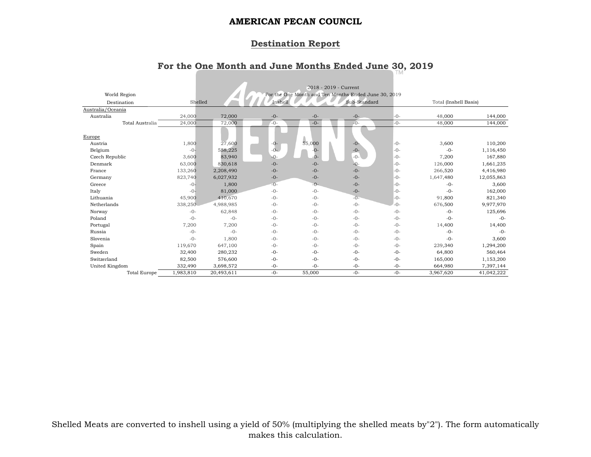# **Destination Report**

# **For the One Month and June Months Ended June 30, 2019**

|                   |                     |           |            |         |        | 2018 - 2019 - Current                                |       |                       |            |
|-------------------|---------------------|-----------|------------|---------|--------|------------------------------------------------------|-------|-----------------------|------------|
| World Region      |                     |           |            |         |        | For the One Month and Ten Months Ended June 30, 2019 |       |                       |            |
| Destination       |                     | Shelled   |            | Inshell |        | Sub-Standard                                         |       | Total (Inshell Basis) |            |
| Australia/Oceania |                     |           |            |         |        |                                                      |       |                       |            |
| Australia         |                     | 24,000    | 72,000     | $-0-$   | $-0-$  | $-0-$                                                | $-0-$ | 48,000                | 144,000    |
|                   | Total Australia     | 24,000    | 72,000     | $-0-$   | $-0-$  | $-0-$                                                | $-0-$ | 48,000                | 144,000    |
|                   |                     |           |            |         |        |                                                      |       |                       |            |
| Europe            |                     |           |            |         |        |                                                      |       |                       |            |
| Austria           |                     | 1,800     | 27,600     | $-0-$   | 55,000 | $-0-$                                                | $-0-$ | 3,600                 | 110,200    |
| Belgium           |                     | $-0-$     | 558,225    | $-0-$   | $-0-$  | $-0-$                                                | $-0-$ | $-0-$                 | 1,116,450  |
| Czech Republic    |                     | 3,600     | 83,940     | $-Q-$   | $0 -$  | $-0-$                                                | $-0-$ | 7,200                 | 167,880    |
| Denmark           |                     | 63,000    | 830,618    | $-0-$   | $-0-$  | $-0-$                                                | $-0-$ | 126,000               | 1,661,235  |
| France            |                     | 133,260   | 2,208,490  | $-0-$   | $-0-$  | $-0-$                                                | $-0-$ | 266,520               | 4,416,980  |
| Germany           |                     | 823,740   | 6,027,932  | $-0-$   | $-0-$  | $-0-$                                                | $-0-$ | 1,647,480             | 12,055,863 |
| Greece            |                     | $-0-$     | 1,800      | $-0-$   | $-0-$  | $-0-$                                                | $-0-$ | $-0-$                 | 3,600      |
| Italy             |                     | $-0-$     | 81,000     | $-0-$   | $-0-$  | $-0-$                                                | $-0-$ | $-0-$                 | 162,000    |
| Lithuania         |                     | 45,900    | 410,670    | $-0-$   | $-0-$  | $-0-$                                                | $-0-$ | 91,800                | 821,340    |
| Netherlands       |                     | 338,250   | 4,988,985  | $-0-$   | $-0-$  | $-0-$                                                | $-0-$ | 676,500               | 9,977,970  |
| Norway            |                     | $-0-$     | 62,848     | $-0-$   | $-0-$  | $-0-$                                                | $-0-$ | $-0-$                 | 125,696    |
| Poland            |                     | $-0-$     | $-0-$      | $-0-$   | $-0-$  | $-0-$                                                | $-0-$ | $-0-$                 | $-0-$      |
| Portugal          |                     | 7,200     | 7,200      | $-0-$   | $-0-$  | $-0-$                                                | $-0-$ | 14,400                | 14,400     |
| Russia            |                     | $-0-$     | $-0-$      | $-0-$   | $-0-$  | $-0-$                                                | $-0-$ | $-0-$                 | $-0-$      |
| Slovenia          |                     | $-0-$     | 1,800      | $-0-$   | $-0-$  | $-0-$                                                | $-0-$ | $-0-$                 | 3,600      |
| Spain             |                     | 119,670   | 647,100    | $-0-$   | $-0-$  | $-0-$                                                | $-0-$ | 239,340               | 1,294,200  |
| Sweden            |                     | 32,400    | 280,232    | $-0-$   | $-0-$  | $-0-$                                                | $-0-$ | 64,800                | 560,464    |
| Switzerland       |                     | 82,500    | 576,600    | $-0-$   | $-0-$  | $-0-$                                                | $-0-$ | 165,000               | 1,153,200  |
| United Kingdom    |                     | 332,490   | 3,698,572  | $-0-$   | $-0-$  | $-0-$                                                | $-0-$ | 664,980               | 7,397,144  |
|                   | <b>Total Europe</b> | 1,983,810 | 20,493,611 | $-0-$   | 55,000 | $-0-$                                                | $-0-$ | 3,967,620             | 41,042,222 |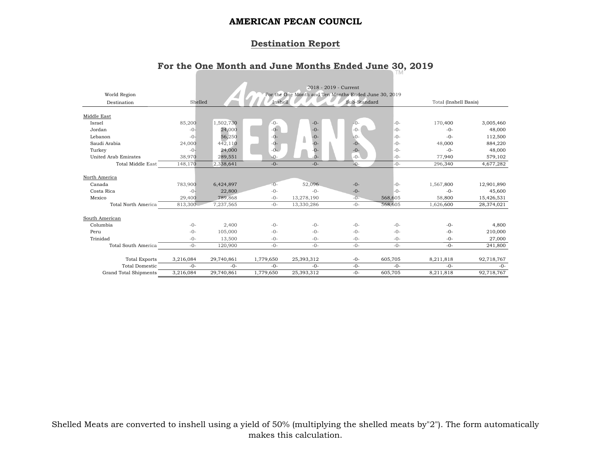# **Destination Report**

# **For the One Month and June Months Ended June 30, 2019**

| World Region<br>Destination  | Shelled         |                   | Inshell        |                     | 2018 - 2019 - Current<br>For the One Month and Ten Months Ended June 30, 2019<br>Sub-Standard |                | Total (Inshell Basis) |                      |
|------------------------------|-----------------|-------------------|----------------|---------------------|-----------------------------------------------------------------------------------------------|----------------|-----------------------|----------------------|
|                              |                 |                   |                |                     |                                                                                               |                |                       |                      |
| Middle East                  |                 |                   |                |                     |                                                                                               |                |                       |                      |
| Israel                       | 85,200          | 1,502,730         | $-0-$          | $-0-$               | $-0-$                                                                                         | $-0-$          | 170,400               | 3,005,460            |
| Jordan                       | $-0-$           | 24,000            | $-0-$          | $-0-$               | $-0-$                                                                                         | $-0-$          | $-0-$                 | 48,000               |
| Lebanon                      | $-0-$           | 56,250            | $-0-$          | $-0-$               | $-0-$                                                                                         | $-0-$          | $-0-$                 | 112,500              |
| Saudi Arabia                 | 24,000          | 442,110           | $-0-$          | ۸<br>$-0-$          | $-0-$                                                                                         | $-0-$          | 48,000                | 884,220              |
| Turkey                       | $-0-$           | 24,000            | $-0-$          | -0-                 | $-0-$                                                                                         | $-0-$          | $-0-$                 | 48,000               |
| <b>United Arab Emirates</b>  | 38,970          | 289,551           | $-Q-$          | $\Omega$            | $-0-$                                                                                         | $-0-$          | 77,940                | 579,102              |
| <b>Total Middle East</b>     | 148,170         | 2,338,641         | $-0-$          | $-0-$               | $-0-$                                                                                         | $-0-$          | 296,340               | 4,677,282            |
| North America                |                 |                   |                |                     |                                                                                               |                |                       |                      |
| Canada                       | 783,900         | 6,424,897         | $-0-$<br>$-0-$ | 52,096              | $-0-$                                                                                         | $-0-$<br>$-0-$ | 1,567,800             | 12,901,890           |
| Costa Rica<br>Mexico         | $-0-$<br>29,400 | 22,800<br>789,868 | $-0-$          | $-0-$<br>13,278,190 | $-0-$<br>$-0-$                                                                                | 568,605        | $-0-$<br>58,800       | 45,600<br>15,426,531 |
| Total North America          | 813,300         | 7,237,565         | $-0-$          | 13,330,286          | $-0-$                                                                                         | 568,605        | 1,626,600             | 28,374,021           |
|                              |                 |                   |                |                     |                                                                                               |                |                       |                      |
| South American               |                 |                   |                |                     |                                                                                               |                |                       |                      |
| Columbia                     | $-0-$           | 2,400             | $-0-$          | $-0-$               | $-0-$                                                                                         | $-0-$          | $-0-$                 | 4,800                |
| Peru                         | $-0-$           | 105,000           | $-0-$          | $-0-$               | $-0-$                                                                                         | $-0-$          | $-0-$                 | 210,000              |
| Trinidad                     | $-0-$           | 13,500            | $-0-$          | $-0-$               | $-0-$                                                                                         | $-0-$          | $-0-$                 | 27,000               |
| Total South America          | $-0-$           | 120,900           | $-0-$          | $-0-$               | $-0-$                                                                                         | $-0-$          | $-0-$                 | 241,800              |
|                              |                 |                   |                |                     |                                                                                               |                |                       |                      |
| <b>Total Exports</b>         | 3,216,084       | 29,740,861        | 1,779,650      | 25,393,312          | $-0-$                                                                                         | 605,705        | 8,211,818             | 92,718,767           |
| <b>Total Domestic</b>        | $-0-$           | $-0-$             | $-0-$          | $-0-$               | $-0-$                                                                                         | $-0-$          | $-0-$                 | $-0-$                |
| <b>Grand Total Shipments</b> | 3,216,084       | 29,740,861        | 1,779,650      | 25,393,312          | $-0-$                                                                                         | 605,705        | 8,211,818             | 92,718,767           |